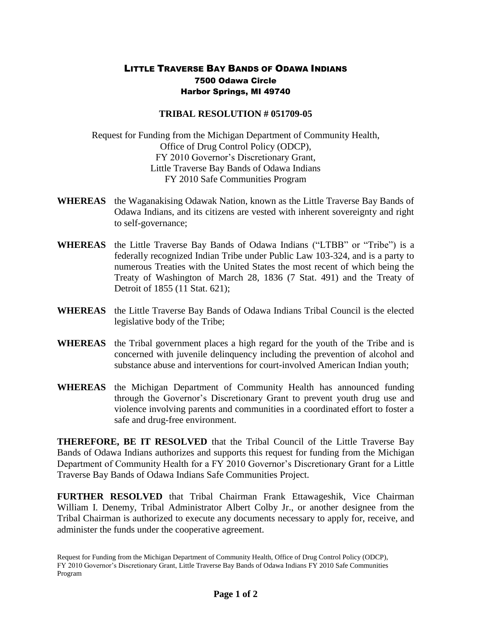## LITTLE TRAVERSE BAY BANDS OF ODAWA INDIANS 7500 Odawa Circle Harbor Springs, MI 49740

## **TRIBAL RESOLUTION # 051709-05**

Request for Funding from the Michigan Department of Community Health, Office of Drug Control Policy (ODCP), FY 2010 Governor's Discretionary Grant, Little Traverse Bay Bands of Odawa Indians FY 2010 Safe Communities Program

- **WHEREAS** the Waganakising Odawak Nation, known as the Little Traverse Bay Bands of Odawa Indians, and its citizens are vested with inherent sovereignty and right to self-governance;
- **WHEREAS** the Little Traverse Bay Bands of Odawa Indians ("LTBB" or "Tribe") is a federally recognized Indian Tribe under Public Law 103-324, and is a party to numerous Treaties with the United States the most recent of which being the Treaty of Washington of March 28, 1836 (7 Stat. 491) and the Treaty of Detroit of 1855 (11 Stat. 621);
- **WHEREAS** the Little Traverse Bay Bands of Odawa Indians Tribal Council is the elected legislative body of the Tribe;
- **WHEREAS** the Tribal government places a high regard for the youth of the Tribe and is concerned with juvenile delinquency including the prevention of alcohol and substance abuse and interventions for court-involved American Indian youth;
- **WHEREAS** the Michigan Department of Community Health has announced funding through the Governor's Discretionary Grant to prevent youth drug use and violence involving parents and communities in a coordinated effort to foster a safe and drug-free environment.

**THEREFORE, BE IT RESOLVED** that the Tribal Council of the Little Traverse Bay Bands of Odawa Indians authorizes and supports this request for funding from the Michigan Department of Community Health for a FY 2010 Governor's Discretionary Grant for a Little Traverse Bay Bands of Odawa Indians Safe Communities Project.

**FURTHER RESOLVED** that Tribal Chairman Frank Ettawageshik, Vice Chairman William I. Denemy, Tribal Administrator Albert Colby Jr., or another designee from the Tribal Chairman is authorized to execute any documents necessary to apply for, receive, and administer the funds under the cooperative agreement.

Request for Funding from the Michigan Department of Community Health, Office of Drug Control Policy (ODCP), FY 2010 Governor's Discretionary Grant, Little Traverse Bay Bands of Odawa Indians FY 2010 Safe Communities Program